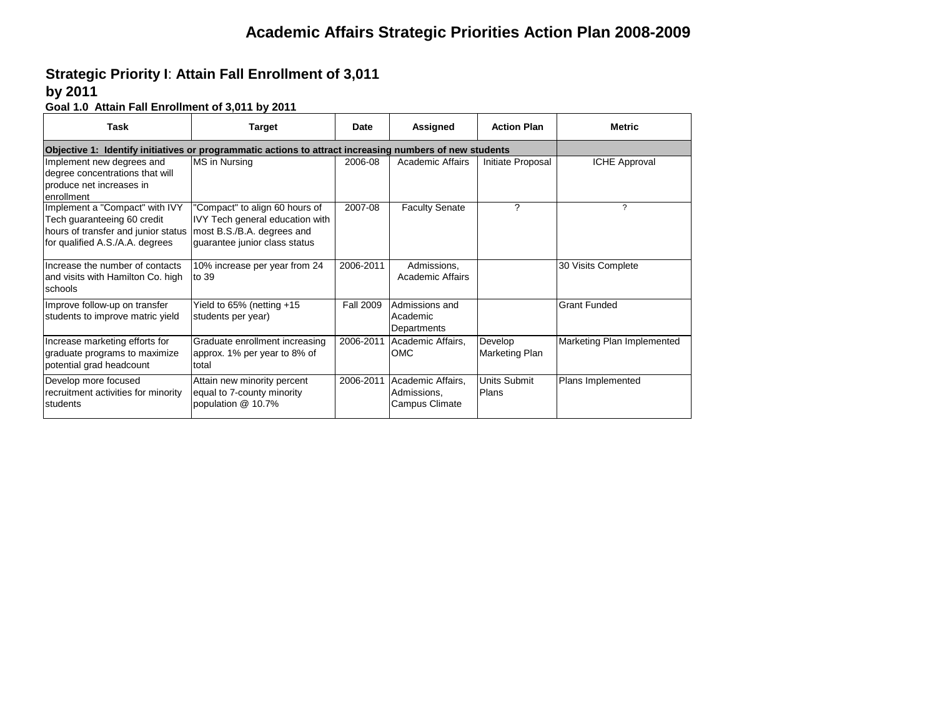## **Strategic Priority I**: **Attain Fall Enrollment of 3,011**

#### **by 2011**

**Goal 1.0 Attain Fall Enrollment of 3,011 by 2011**

| Task                                                                                                                                    | <b>Target</b>                                                                                                                    | Date             | Assigned                                           | <b>Action Plan</b>        | <b>Metric</b>              |  |  |  |  |
|-----------------------------------------------------------------------------------------------------------------------------------------|----------------------------------------------------------------------------------------------------------------------------------|------------------|----------------------------------------------------|---------------------------|----------------------------|--|--|--|--|
|                                                                                                                                         | Objective 1: Identify initiatives or programmatic actions to attract increasing numbers of new students                          |                  |                                                    |                           |                            |  |  |  |  |
| Implement new degrees and<br>degree concentrations that will<br>produce net increases in<br>enrollment                                  | MS in Nursing                                                                                                                    | 2006-08          | Academic Affairs                                   | Initiate Proposal         | <b>ICHE Approval</b>       |  |  |  |  |
| Implement a "Compact" with IVY<br>Tech guaranteeing 60 credit<br>hours of transfer and junior status<br>for qualified A.S./A.A. degrees | "Compact" to align 60 hours of<br>IVY Tech general education with<br>most B.S./B.A. degrees and<br>guarantee junior class status | 2007-08          | <b>Faculty Senate</b>                              | ?                         | ?                          |  |  |  |  |
| Increase the number of contacts<br>and visits with Hamilton Co. high<br>schools                                                         | 10% increase per year from 24<br>to 39                                                                                           | 2006-2011        | Admissions,<br>Academic Affairs                    |                           | 30 Visits Complete         |  |  |  |  |
| Improve follow-up on transfer<br>students to improve matric yield                                                                       | Yield to $65\%$ (netting $+15$<br>students per year)                                                                             | <b>Fall 2009</b> | Admissions and<br>Academic<br>Departments          |                           | <b>Grant Funded</b>        |  |  |  |  |
| Increase marketing efforts for<br>graduate programs to maximize<br>potential grad headcount                                             | Graduate enrollment increasing<br>approx. 1% per year to 8% of<br>total                                                          | 2006-2011        | Academic Affairs.<br>OMC                           | Develop<br>Marketing Plan | Marketing Plan Implemented |  |  |  |  |
| Develop more focused<br>recruitment activities for minority<br>students                                                                 | Attain new minority percent<br>equal to 7-county minority<br>population @ 10.7%                                                  | 2006-2011        | Academic Affairs,<br>Admissions.<br>Campus Climate | Units Submit<br>Plans     | Plans Implemented          |  |  |  |  |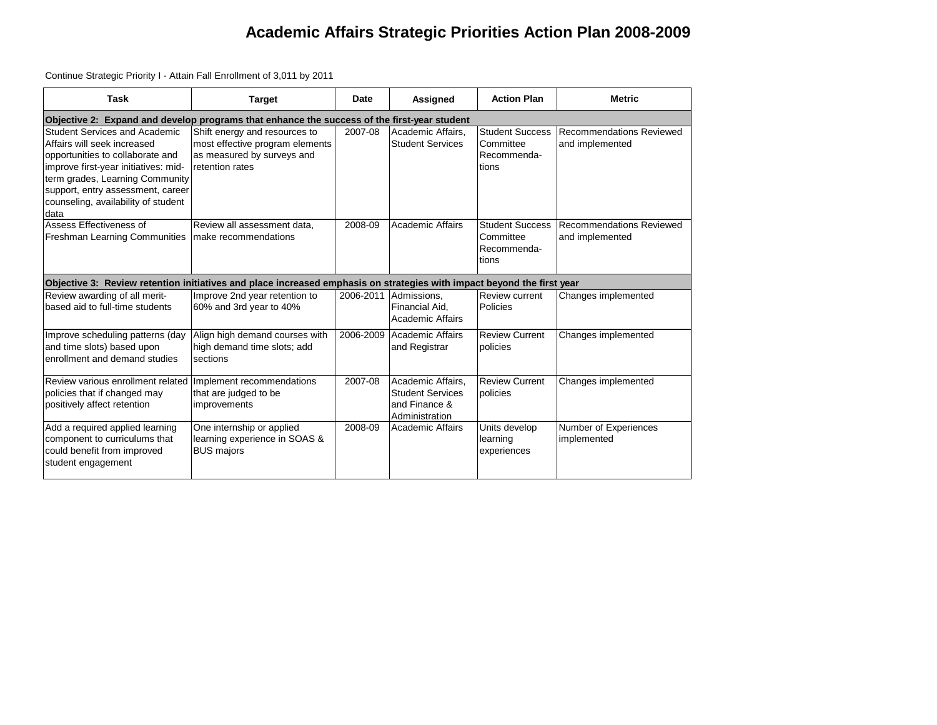Continue Strategic Priority I - Attain Fall Enrollment of 3,011 by 2011

| <b>Task</b>                                                                                                                                                                                                                                                     | <b>Target</b>                                                                                                     | Date      | Assigned                                                                        | <b>Action Plan</b>                                                 | <b>Metric</b>                               |  |  |  |  |  |
|-----------------------------------------------------------------------------------------------------------------------------------------------------------------------------------------------------------------------------------------------------------------|-------------------------------------------------------------------------------------------------------------------|-----------|---------------------------------------------------------------------------------|--------------------------------------------------------------------|---------------------------------------------|--|--|--|--|--|
|                                                                                                                                                                                                                                                                 | Objective 2: Expand and develop programs that enhance the success of the first-year student                       |           |                                                                                 |                                                                    |                                             |  |  |  |  |  |
| Student Services and Academic<br>Affairs will seek increased<br>opportunities to collaborate and<br>improve first-year initiatives: mid-<br>term grades, Learning Community<br>support, entry assessment, career<br>counseling, availability of student<br>data | Shift energy and resources to<br>most effective program elements<br>as measured by surveys and<br>retention rates | 2007-08   | Academic Affairs.<br><b>Student Services</b>                                    | <b>Student Success</b><br>Committee<br>Recommenda-<br>tions        | Recommendations Reviewed<br>and implemented |  |  |  |  |  |
| Assess Effectiveness of<br><b>Freshman Learning Communities</b>                                                                                                                                                                                                 | Review all assessment data.<br>make recommendations                                                               | 2008-09   | <b>Academic Affairs</b>                                                         | <b>Student Success</b><br><b>Committee</b><br>Recommenda-<br>tions | Recommendations Reviewed<br>and implemented |  |  |  |  |  |
| Objective 3: Review retention initiatives and place increased emphasis on strategies with impact beyond the first year                                                                                                                                          |                                                                                                                   |           |                                                                                 |                                                                    |                                             |  |  |  |  |  |
| Review awarding of all merit-<br>based aid to full-time students                                                                                                                                                                                                | Improve 2nd year retention to<br>60% and 3rd year to 40%                                                          | 2006-2011 | Admissions.<br>Financial Aid.<br>Academic Affairs                               | Review current<br>Policies                                         | Changes implemented                         |  |  |  |  |  |
| Improve scheduling patterns (day<br>and time slots) based upon<br>enrollment and demand studies                                                                                                                                                                 | Align high demand courses with<br>high demand time slots; add<br>sections                                         | 2006-2009 | Academic Affairs<br>and Registrar                                               | <b>Review Current</b><br>policies                                  | Changes implemented                         |  |  |  |  |  |
| Review various enrollment related Implement recommendations<br>policies that if changed may<br>positively affect retention                                                                                                                                      | that are judged to be<br>improvements                                                                             | 2007-08   | Academic Affairs.<br><b>Student Services</b><br>and Finance &<br>Administration | <b>Review Current</b><br>policies                                  | Changes implemented                         |  |  |  |  |  |
| Add a required applied learning<br>component to curriculums that<br>could benefit from improved<br>student engagement                                                                                                                                           | One internship or applied<br>learning experience in SOAS &<br><b>BUS majors</b>                                   | 2008-09   | Academic Affairs                                                                | Units develop<br>learning<br>experiences                           | Number of Experiences<br>implemented        |  |  |  |  |  |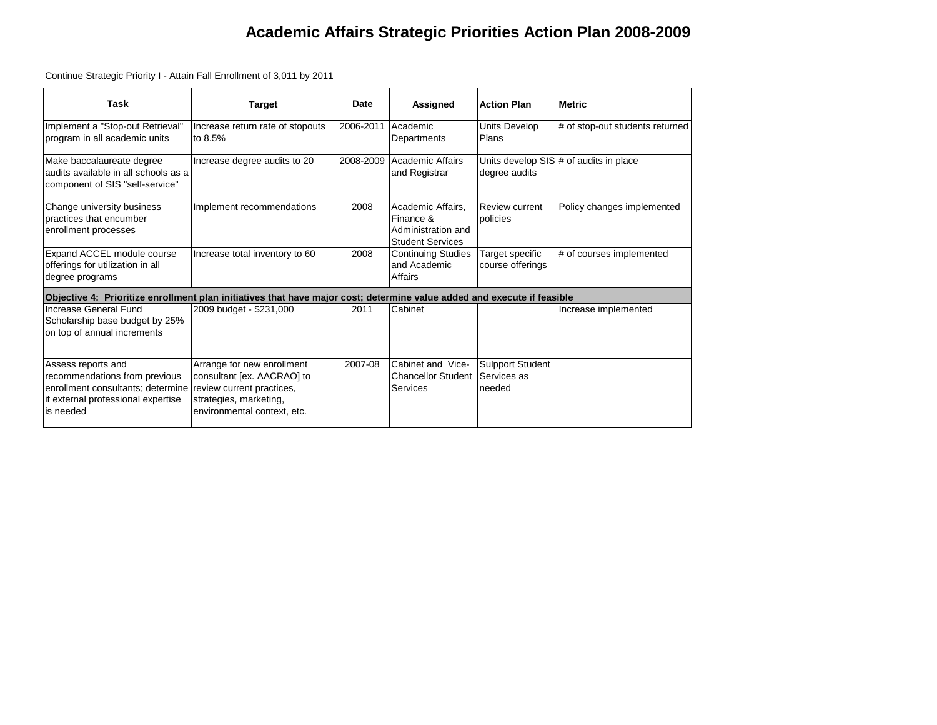Continue Strategic Priority I - Attain Fall Enrollment of 3,011 by 2011

| <b>Task</b>                                                                                                                                 | <b>Target</b>                                                                                                                                  | Date      | Assigned                                                                        | <b>Action Plan</b>                        | <b>Metric</b>                          |
|---------------------------------------------------------------------------------------------------------------------------------------------|------------------------------------------------------------------------------------------------------------------------------------------------|-----------|---------------------------------------------------------------------------------|-------------------------------------------|----------------------------------------|
| Implement a "Stop-out Retrieval"<br>program in all academic units                                                                           | Increase return rate of stopouts<br>to 8.5%                                                                                                    | 2006-2011 | Academic<br>Departments                                                         | Units Develop<br>Plans                    | # of stop-out students returned        |
| Make baccalaureate degree<br>audits available in all schools as a<br>component of SIS "self-service"                                        | Increase degree audits to 20                                                                                                                   | 2008-2009 | Academic Affairs<br>and Registrar                                               | degree audits                             | Units develop SIS # of audits in place |
| Change university business<br>practices that encumber<br>enrollment processes                                                               | Implement recommendations                                                                                                                      | 2008      | Academic Affairs.<br>Finance &<br>Administration and<br><b>Student Services</b> | Review current<br>policies                | Policy changes implemented             |
| Expand ACCEL module course<br>offerings for utilization in all<br>degree programs                                                           | Increase total inventory to 60                                                                                                                 | 2008      | <b>Continuing Studies</b><br>and Academic<br>Affairs                            | Target specific<br>course offerings       | # of courses implemented               |
| Objective 4: Prioritize enrollment plan initiatives that have major cost; determine value added and execute if feasible                     |                                                                                                                                                |           |                                                                                 |                                           |                                        |
| Increase General Fund<br>Scholarship base budget by 25%<br>on top of annual increments                                                      | 2009 budget - \$231,000                                                                                                                        | 2011      | Cabinet                                                                         |                                           | Increase implemented                   |
| Assess reports and<br>recommendations from previous<br>enrollment consultants; determine<br>if external professional expertise<br>is needed | Arrange for new enrollment<br>consultant [ex. AACRAO] to<br>review current practices,<br>strategies, marketing,<br>environmental context, etc. | 2007-08   | Cabinet and Vice-<br>Chancellor Student<br>Services                             | Sulpport Student<br>Services as<br>needed |                                        |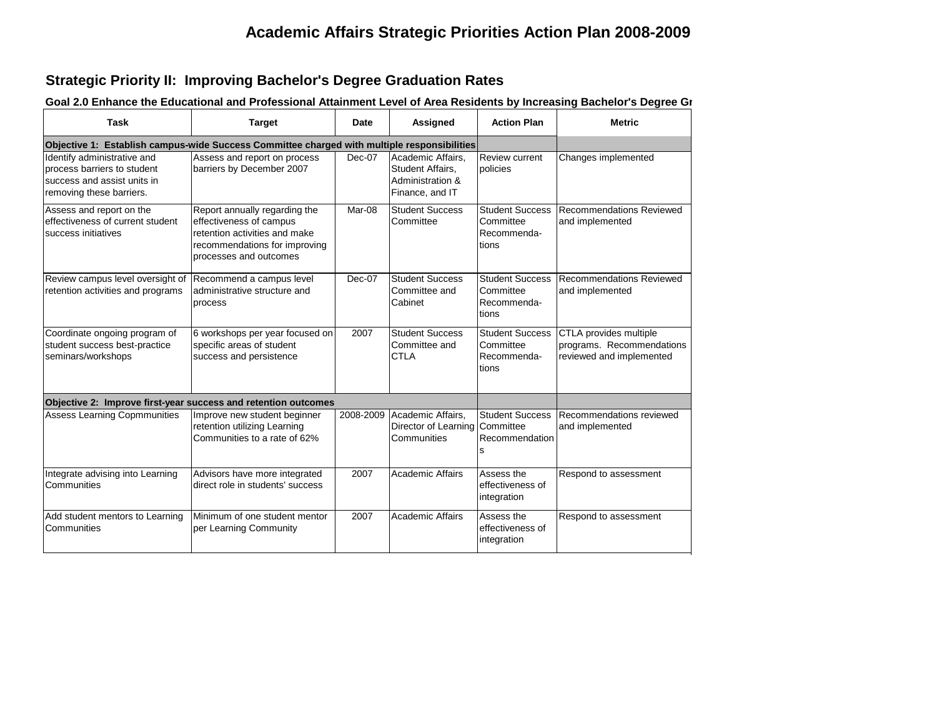#### **Strategic Priority II: Improving Bachelor's Degree Graduation Rates**

| <b>Task</b>                                                                                                           | <b>Target</b>                                                                                                                                        | Date      | Assigned                                                                     | <b>Action Plan</b>                                          | <b>Metric</b>                                                                   |
|-----------------------------------------------------------------------------------------------------------------------|------------------------------------------------------------------------------------------------------------------------------------------------------|-----------|------------------------------------------------------------------------------|-------------------------------------------------------------|---------------------------------------------------------------------------------|
| Objective 1: Establish campus-wide Success Committee charged with multiple responsibilities                           |                                                                                                                                                      |           |                                                                              |                                                             |                                                                                 |
| Identify administrative and<br>process barriers to student<br>success and assist units in<br>removing these barriers. | Assess and report on process<br>barriers by December 2007                                                                                            | $Dec-07$  | Academic Affairs,<br>Student Affairs,<br>Administration &<br>Finance, and IT | <b>Review current</b><br>policies                           | Changes implemented                                                             |
| Assess and report on the<br>effectiveness of current student<br>success initiatives                                   | Report annually regarding the<br>effectiveness of campus<br>retention activities and make<br>recommendations for improving<br>processes and outcomes | Mar-08    | <b>Student Success</b><br>Committee                                          | <b>Student Success</b><br>Committee<br>Recommenda-<br>tions | <b>Recommendations Reviewed</b><br>and implemented                              |
| Review campus level oversight of Recommend a campus level<br>retention activities and programs                        | administrative structure and<br>process                                                                                                              | Dec-07    | <b>Student Success</b><br>Committee and<br>Cabinet                           | <b>Student Success</b><br>Committee<br>Recommenda-<br>tions | <b>Recommendations Reviewed</b><br>and implemented                              |
| Coordinate ongoing program of<br>student success best-practice<br>seminars/workshops                                  | 6 workshops per year focused on<br>specific areas of student<br>success and persistence                                                              | 2007      | <b>Student Success</b><br>Committee and<br><b>CTLA</b>                       | <b>Student Success</b><br>Committee<br>Recommenda-<br>tions | CTLA provides multiple<br>programs. Recommendations<br>reviewed and implemented |
|                                                                                                                       | Objective 2: Improve first-year success and retention outcomes                                                                                       |           |                                                                              |                                                             |                                                                                 |
| <b>Assess Learning Copmmunities</b>                                                                                   | Improve new student beginner<br>retention utilizing Learning<br>Communities to a rate of 62%                                                         | 2008-2009 | Academic Affairs,<br>Director of Learning<br>Communities                     | <b>Student Success</b><br>Committee<br>Recommendation<br>s  | Recommendations reviewed<br>and implemented                                     |
| Integrate advising into Learning<br>Communities                                                                       | Advisors have more integrated<br>direct role in students' success                                                                                    | 2007      | <b>Academic Affairs</b>                                                      | Assess the<br>effectiveness of<br>integration               | Respond to assessment                                                           |
| Add student mentors to Learning<br>Communities                                                                        | Minimum of one student mentor<br>per Learning Community                                                                                              | 2007      | <b>Academic Affairs</b>                                                      | Assess the<br>effectiveness of<br>integration               | Respond to assessment                                                           |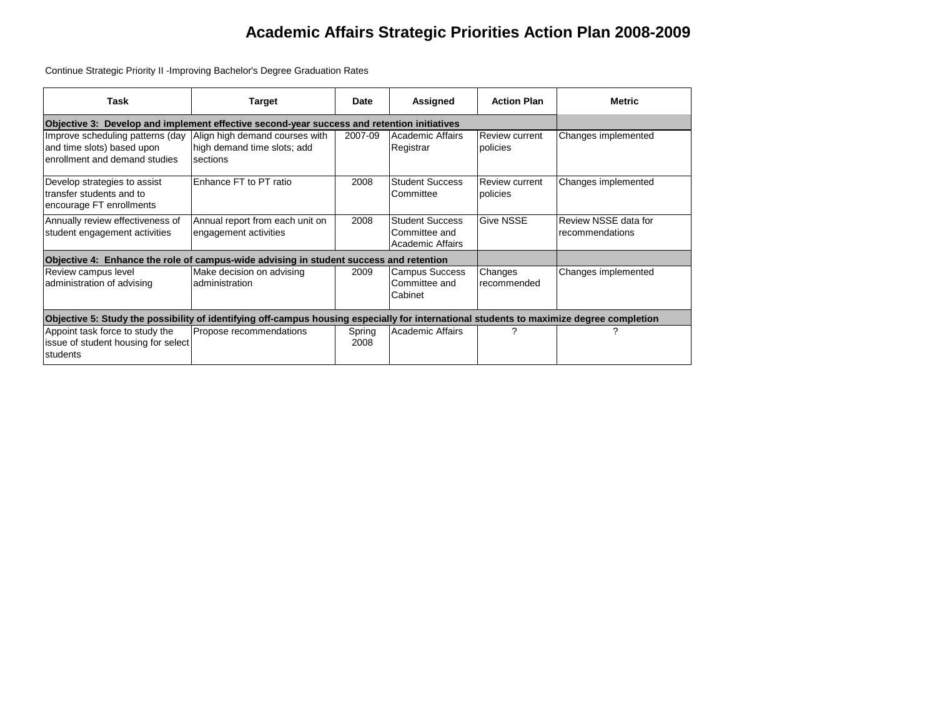Continue Strategic Priority II -Improving Bachelor's Degree Graduation Rates

| Task                                                                                                                                     | Target                                                                    | Date           | Assigned                                                           | <b>Action Plan</b>         | <b>Metric</b>                           |
|------------------------------------------------------------------------------------------------------------------------------------------|---------------------------------------------------------------------------|----------------|--------------------------------------------------------------------|----------------------------|-----------------------------------------|
| Objective 3: Develop and implement effective second-year success and retention initiatives                                               |                                                                           |                |                                                                    |                            |                                         |
| Improve scheduling patterns (day<br>and time slots) based upon<br>enrollment and demand studies                                          | Align high demand courses with<br>high demand time slots; add<br>sections | 2007-09        | Academic Affairs<br>Registrar                                      | Review current<br>policies | Changes implemented                     |
| Develop strategies to assist<br>transfer students and to<br>encourage FT enrollments                                                     | Enhance FT to PT ratio                                                    | 2008           | <b>Student Success</b><br>Committee                                | Review current<br>policies | Changes implemented                     |
| Annually review effectiveness of<br>student engagement activities                                                                        | Annual report from each unit on<br>engagement activities                  | 2008           | <b>Student Success</b><br>Committee and<br><b>Academic Affairs</b> | <b>Give NSSE</b>           | Review NSSE data for<br>recommendations |
| Objective 4: Enhance the role of campus-wide advising in student success and retention                                                   |                                                                           |                |                                                                    |                            |                                         |
| Review campus level<br>administration of advising                                                                                        | Make decision on advising<br>administration                               | 2009           | <b>Campus Success</b><br>Committee and<br>Cabinet                  | Changes<br>recommended     | Changes implemented                     |
| Objective 5: Study the possibility of identifying off-campus housing especially for international students to maximize degree completion |                                                                           |                |                                                                    |                            |                                         |
| Appoint task force to study the<br>issue of student housing for select<br>students                                                       | Propose recommendations                                                   | Spring<br>2008 | Academic Affairs                                                   | ?                          | 2                                       |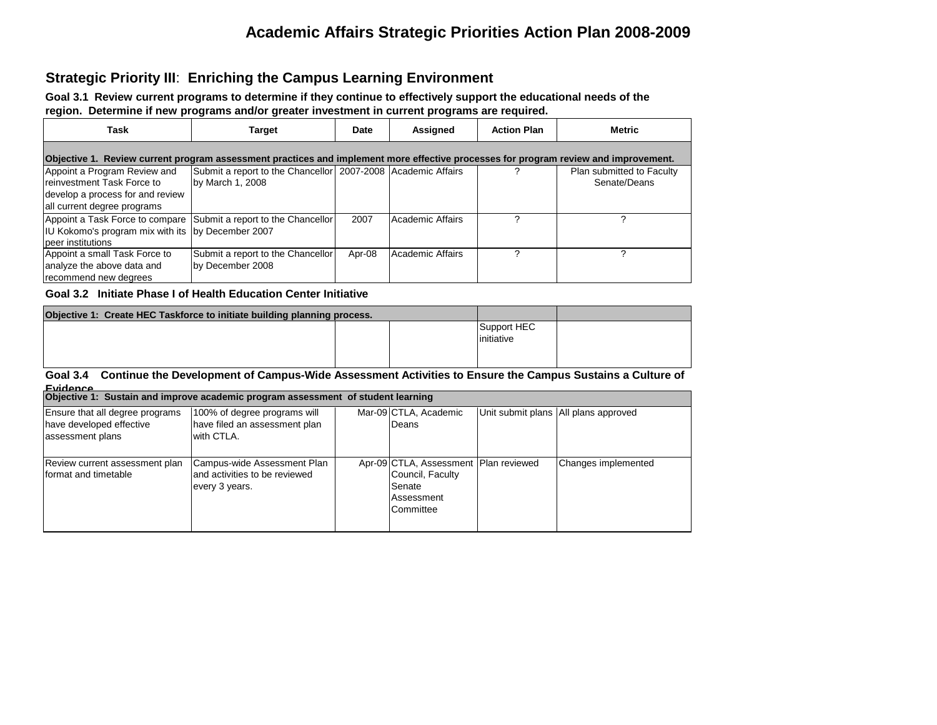#### **Strategic Priority III**: **Enriching the Campus Learning Environment**

**Goal 3.1 Review current programs to determine if they continue to effectively support the educational needs of the region. Determine if new programs and/or greater investment in current programs are required.**

| Task                                                                                                                                  | <b>Target</b>                                                                                                                       | Date   | Assigned         | <b>Action Plan</b> | <b>Metric</b>                             |
|---------------------------------------------------------------------------------------------------------------------------------------|-------------------------------------------------------------------------------------------------------------------------------------|--------|------------------|--------------------|-------------------------------------------|
|                                                                                                                                       | Objective 1. Review current program assessment practices and implement more effective processes for program review and improvement. |        |                  |                    |                                           |
| Appoint a Program Review and<br><b>Ireinvestment Task Force to</b><br>develop a process for and review<br>all current degree programs | Submit a report to the Chancellor   2007-2008   Academic Affairs<br>by March 1, 2008                                                |        |                  |                    | Plan submitted to Faculty<br>Senate/Deans |
| IU Kokomo's program mix with its by December 2007<br>peer institutions                                                                | Appoint a Task Force to compare Submit a report to the Chancellor                                                                   | 2007   | Academic Affairs |                    |                                           |
| Appoint a small Task Force to<br>analyze the above data and<br>recommend new degrees                                                  | Submit a report to the Chancellor<br>by December 2008                                                                               | Apr-08 | Academic Affairs |                    |                                           |

**Goal 3.2 Initiate Phase I of Health Education Center Initiative**

| Support HEC<br>initiative | Objective 1: Create HEC Taskforce to initiate building planning process. |  |  |
|---------------------------|--------------------------------------------------------------------------|--|--|
|                           |                                                                          |  |  |

#### **Goal 3.4 Continue the Development of Campus-Wide Assessment Activities to Ensure the Campus Sustains a Culture of Evidence**

| Objective 1: Sustain and improve academic program assessment of student learning |                                                                                |  |                                                                                                  |  |                                        |  |  |  |  |
|----------------------------------------------------------------------------------|--------------------------------------------------------------------------------|--|--------------------------------------------------------------------------------------------------|--|----------------------------------------|--|--|--|--|
| Ensure that all degree programs<br>have developed effective<br>assessment plans  | 100% of degree programs will<br>have filed an assessment plan<br>with CTLA.    |  | Mar-09 CTLA, Academic<br>Deans                                                                   |  | Unit submit plans   All plans approved |  |  |  |  |
| Review current assessment plan<br>format and timetable                           | Campus-wide Assessment Plan<br>and activities to be reviewed<br>every 3 years. |  | Apr-09 CTLA, Assessment   Plan reviewed<br>Council, Faculty<br>Senate<br>Assessment<br>Committee |  | Changes implemented                    |  |  |  |  |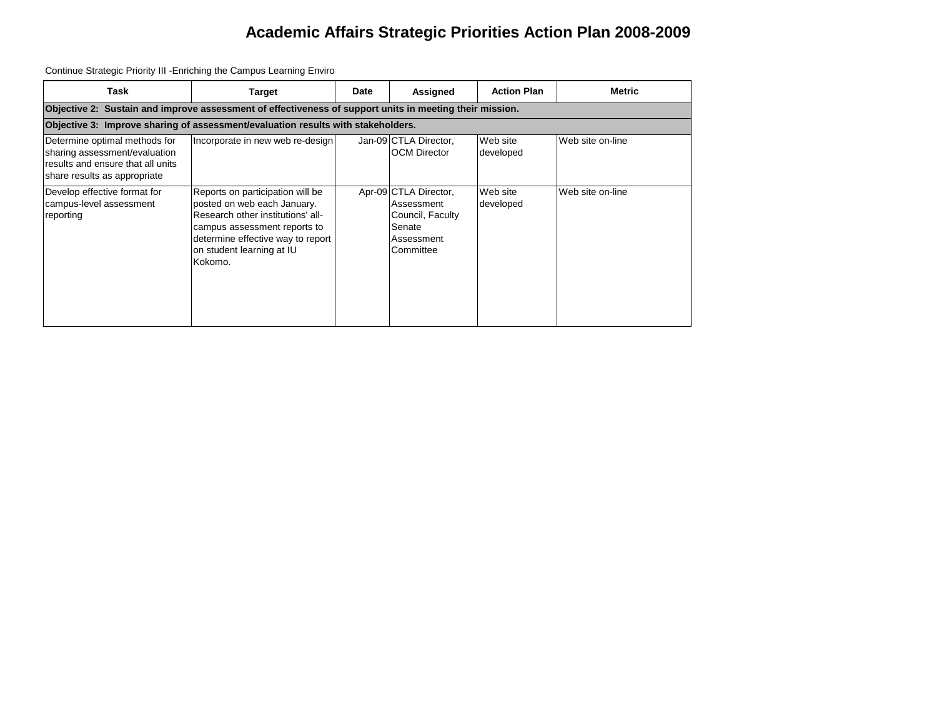Continue Strategic Priority III -Enriching the Campus Learning Enviro

| Task                                                                                                                                | Target                                                                                                                                                                                                            | Date | Assigned                                                                                     | <b>Action Plan</b>    | <b>Metric</b>    |  |  |  |  |  |
|-------------------------------------------------------------------------------------------------------------------------------------|-------------------------------------------------------------------------------------------------------------------------------------------------------------------------------------------------------------------|------|----------------------------------------------------------------------------------------------|-----------------------|------------------|--|--|--|--|--|
|                                                                                                                                     | Objective 2: Sustain and improve assessment of effectiveness of support units in meeting their mission.                                                                                                           |      |                                                                                              |                       |                  |  |  |  |  |  |
|                                                                                                                                     | Objective 3: Improve sharing of assessment/evaluation results with stakeholders.                                                                                                                                  |      |                                                                                              |                       |                  |  |  |  |  |  |
| Determine optimal methods for<br>sharing assessment/evaluation<br>results and ensure that all units<br>share results as appropriate | Incorporate in new web re-design                                                                                                                                                                                  |      | Jan-09 CTLA Director,<br><b>OCM Director</b>                                                 | Web site<br>developed | Web site on-line |  |  |  |  |  |
| Develop effective format for<br>campus-level assessment<br>reporting                                                                | Reports on participation will be<br>posted on web each January.<br>Research other institutions' all-<br>campus assessment reports to<br>determine effective way to report<br>on student learning at IU<br>Kokomo. |      | Apr-09 CTLA Director,<br>Assessment<br>Council, Faculty<br>Senate<br>Assessment<br>Committee | Web site<br>developed | Web site on-line |  |  |  |  |  |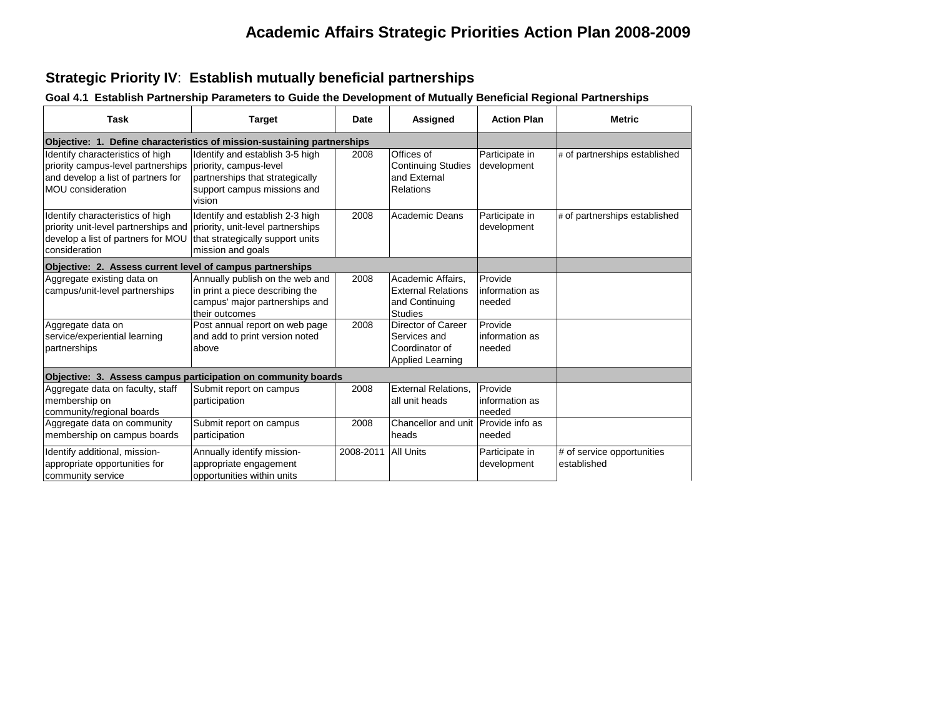## **Strategic Priority IV**: **Establish mutually beneficial partnerships**

#### **Goal 4.1 Establish Partnership Parameters to Guide the Development of Mutually Beneficial Regional Partnerships**

| Task                                                                                                                                                                                               | <b>Target</b>                                                                                                          | <b>Date</b> | Assigned                                                                           | <b>Action Plan</b>                  | <b>Metric</b>                             |
|----------------------------------------------------------------------------------------------------------------------------------------------------------------------------------------------------|------------------------------------------------------------------------------------------------------------------------|-------------|------------------------------------------------------------------------------------|-------------------------------------|-------------------------------------------|
| Objective: 1. Define characteristics of mission-sustaining partnerships                                                                                                                            |                                                                                                                        |             |                                                                                    |                                     |                                           |
| Identify characteristics of high<br>priority campus-level partnerships priority, campus-level<br>and develop a list of partners for<br><b>MOU</b> consideration                                    | Identify and establish 3-5 high<br>partnerships that strategically<br>support campus missions and<br>vision            | 2008        | Offices of<br><b>Continuing Studies</b><br>and External<br>Relations               | Participate in<br>development       | # of partnerships established             |
| Identify characteristics of high<br>priority unit-level partnerships and priority, unit-level partnerships<br>develop a list of partners for MOU that strategically support units<br>consideration | Identify and establish 2-3 high<br>mission and goals                                                                   | 2008        | <b>Academic Deans</b>                                                              | Participate in<br>development       | # of partnerships established             |
| Objective: 2. Assess current level of campus partnerships                                                                                                                                          |                                                                                                                        |             |                                                                                    |                                     |                                           |
| Aggregate existing data on<br>campus/unit-level partnerships                                                                                                                                       | Annually publish on the web and<br>in print a piece describing the<br>campus' major partnerships and<br>their outcomes | 2008        | Academic Affairs.<br><b>External Relations</b><br>and Continuing<br><b>Studies</b> | Provide<br>information as<br>needed |                                           |
| Aggregate data on<br>service/experiential learning<br>partnerships                                                                                                                                 | Post annual report on web page<br>and add to print version noted<br>above                                              | 2008        | Director of Career<br>Services and<br>Coordinator of<br><b>Applied Learning</b>    | Provide<br>information as<br>needed |                                           |
| Objective: 3. Assess campus participation on community boards                                                                                                                                      |                                                                                                                        |             |                                                                                    |                                     |                                           |
| Aggregate data on faculty, staff<br>membership on<br>community/regional boards                                                                                                                     | Submit report on campus<br>participation                                                                               | 2008        | <b>External Relations.</b><br>all unit heads                                       | Provide<br>information as<br>needed |                                           |
| Aggregate data on community<br>membership on campus boards                                                                                                                                         | Submit report on campus<br>participation                                                                               | 2008        | Chancellor and unit<br>heads                                                       | Provide info as<br>needed           |                                           |
| Identify additional, mission-<br>appropriate opportunities for<br>community service                                                                                                                | Annually identify mission-<br>appropriate engagement<br>opportunities within units                                     | 2008-2011   | <b>All Units</b>                                                                   | Participate in<br>development       | # of service opportunities<br>established |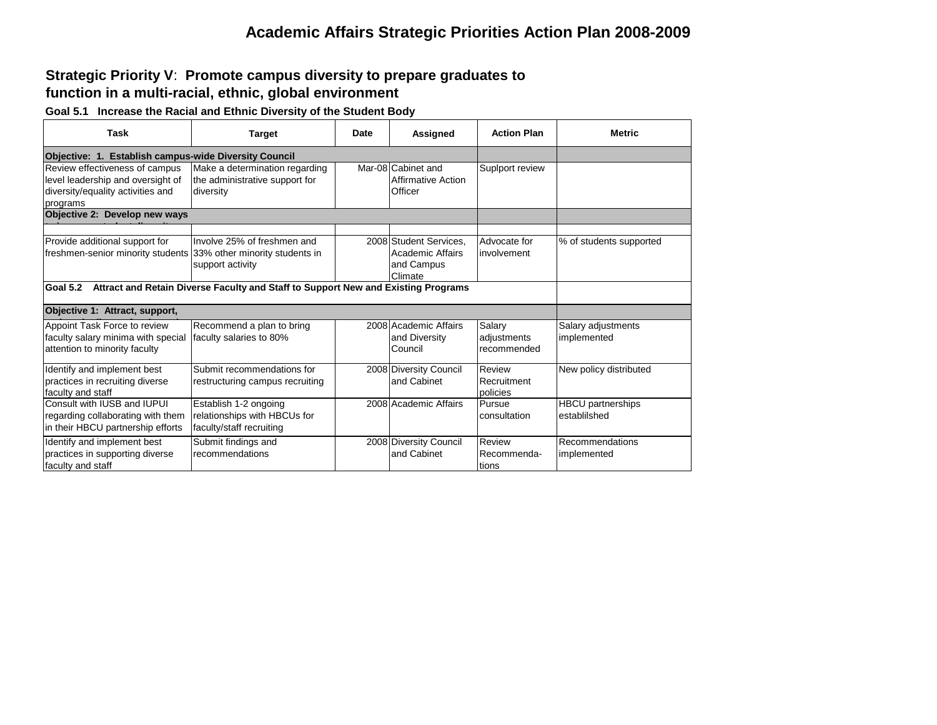#### **Strategic Priority V**: **Promote campus diversity to prepare graduates to function in a multi-racial, ethnic, global environment**

**Goal 5.1 Increase the Racial and Ethnic Diversity of the Student Body**

| <b>Task</b>                                                                                                          | <b>Target</b>                                                                     | <b>Date</b> | Assigned                                                                   | <b>Action Plan</b>                   | <b>Metric</b>                            |  |  |
|----------------------------------------------------------------------------------------------------------------------|-----------------------------------------------------------------------------------|-------------|----------------------------------------------------------------------------|--------------------------------------|------------------------------------------|--|--|
| Objective: 1. Establish campus-wide Diversity Council                                                                |                                                                                   |             |                                                                            |                                      |                                          |  |  |
| Review effectiveness of campus<br>level leadership and oversight of<br>diversity/equality activities and<br>programs | Make a determination regarding<br>the administrative support for<br>diversity     |             | Mar-08 Cabinet and<br><b>Affirmative Action</b><br>Officer                 | Suplport review                      |                                          |  |  |
| Objective 2: Develop new ways                                                                                        |                                                                                   |             |                                                                            |                                      |                                          |  |  |
| Provide additional support for<br>freshmen-senior minority students                                                  | Involve 25% of freshmen and<br>33% other minority students in<br>support activity |             | 2008 Student Services,<br><b>Academic Affairs</b><br>and Campus<br>Climate | Advocate for<br>involvement          | % of students supported                  |  |  |
| Goal 5.2                                                                                                             | Attract and Retain Diverse Faculty and Staff to Support New and Existing Programs |             |                                                                            |                                      |                                          |  |  |
| Objective 1: Attract, support,                                                                                       |                                                                                   |             |                                                                            |                                      |                                          |  |  |
| Appoint Task Force to review<br>faculty salary minima with special<br>attention to minority faculty                  | Recommend a plan to bring<br>faculty salaries to 80%                              |             | 2008 Academic Affairs<br>and Diversity<br>Council                          | Salary<br>adjustments<br>recommended | Salary adjustments<br>implemented        |  |  |
| Identify and implement best<br>practices in recruiting diverse<br>faculty and staff                                  | Submit recommendations for<br>restructuring campus recruiting                     |             | 2008 Diversity Council<br>and Cabinet                                      | Review<br>Recruitment<br>policies    | New policy distributed                   |  |  |
| Consult with IUSB and IUPUI<br>regarding collaborating with them<br>in their HBCU partnership efforts                | Establish 1-2 ongoing<br>relationships with HBCUs for<br>faculty/staff recruiting |             | 2008 Academic Affairs                                                      | Pursue<br>consultation               | <b>HBCU</b> partnerships<br>establilshed |  |  |
| Identify and implement best<br>practices in supporting diverse<br>faculty and staff                                  | Submit findings and<br>recommendations                                            |             | 2008 Diversity Council<br>and Cabinet                                      | Review<br>Recommenda-<br>tions       | Recommendations<br>implemented           |  |  |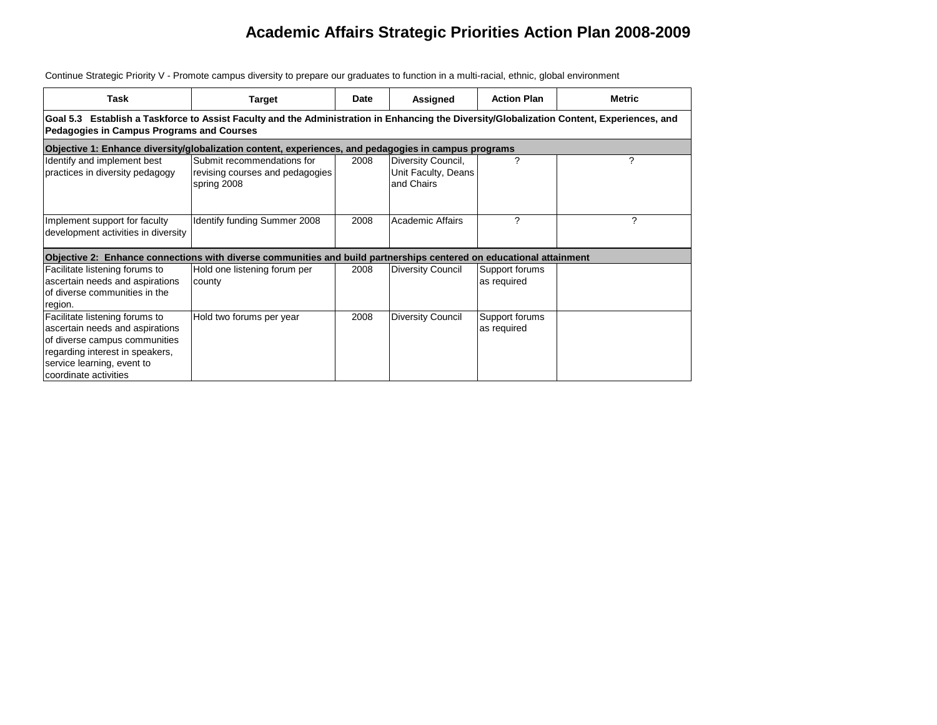| Task                                                                                                                                                                                         | Target                                                                       | Date | Assigned                                                | <b>Action Plan</b>            | <b>Metric</b> |  |  |  |  |  |
|----------------------------------------------------------------------------------------------------------------------------------------------------------------------------------------------|------------------------------------------------------------------------------|------|---------------------------------------------------------|-------------------------------|---------------|--|--|--|--|--|
| Goal 5.3 Establish a Taskforce to Assist Faculty and the Administration in Enhancing the Diversity/Globalization Content, Experiences, and<br>Pedagogies in Campus Programs and Courses      |                                                                              |      |                                                         |                               |               |  |  |  |  |  |
| Objective 1: Enhance diversity/globalization content, experiences, and pedagogies in campus programs                                                                                         |                                                                              |      |                                                         |                               |               |  |  |  |  |  |
| Identify and implement best<br>practices in diversity pedagogy                                                                                                                               | Submit recommendations for<br>revising courses and pedagogies<br>spring 2008 | 2008 | Diversity Council,<br>Unit Faculty, Deans<br>and Chairs | ?                             | ?             |  |  |  |  |  |
| Implement support for faculty<br>development activities in diversity                                                                                                                         | Identify funding Summer 2008                                                 | 2008 | <b>Academic Affairs</b>                                 | 2                             | ?             |  |  |  |  |  |
| Objective 2: Enhance connections with diverse communities and build partnerships centered on educational attainment                                                                          |                                                                              |      |                                                         |                               |               |  |  |  |  |  |
| Facilitate listening forums to<br>ascertain needs and aspirations<br>of diverse communities in the<br>region.                                                                                | Hold one listening forum per<br>county                                       | 2008 | <b>Diversity Council</b>                                | Support forums<br>as required |               |  |  |  |  |  |
| Facilitate listening forums to<br>ascertain needs and aspirations<br>of diverse campus communities<br>regarding interest in speakers,<br>service learning, event to<br>coordinate activities | Hold two forums per year                                                     | 2008 | <b>Diversity Council</b>                                | Support forums<br>as required |               |  |  |  |  |  |

Continue Strategic Priority V - Promote campus diversity to prepare our graduates to function in a multi-racial, ethnic, global environment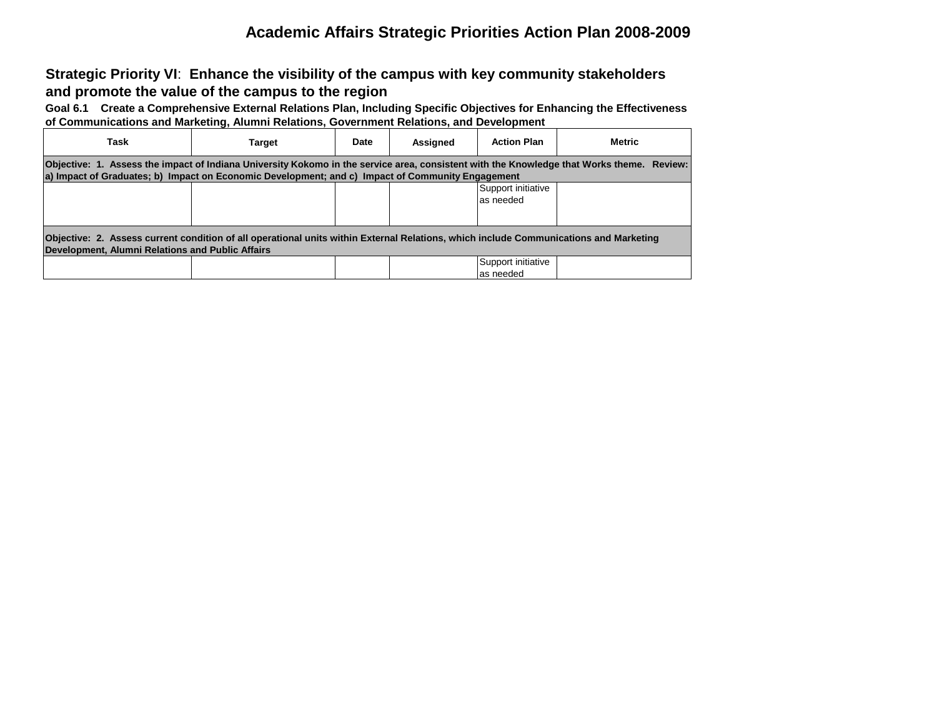**Strategic Priority VI**: **Enhance the visibility of the campus with key community stakeholders and promote the value of the campus to the region**

**Goal 6.1 Create a Comprehensive External Relations Plan, Including Specific Objectives for Enhancing the Effectiveness of Communications and Marketing, Alumni Relations, Government Relations, and Development**

| Task                                                                                                                                                                                                                                          | Target | Date | Assigned | <b>Action Plan</b>               | <b>Metric</b> |  |  |  |
|-----------------------------------------------------------------------------------------------------------------------------------------------------------------------------------------------------------------------------------------------|--------|------|----------|----------------------------------|---------------|--|--|--|
| Objective: 1. Assess the impact of Indiana University Kokomo in the service area, consistent with the Knowledge that Works theme. Review:<br>a) Impact of Graduates; b) Impact on Economic Development; and c) Impact of Community Engagement |        |      |          |                                  |               |  |  |  |
|                                                                                                                                                                                                                                               |        |      |          | Support initiative<br>as needed  |               |  |  |  |
| Objective: 2. Assess current condition of all operational units within External Relations, which include Communications and Marketing<br>Development, Alumni Relations and Public Affairs                                                     |        |      |          |                                  |               |  |  |  |
|                                                                                                                                                                                                                                               |        |      |          | Support initiative<br>las needed |               |  |  |  |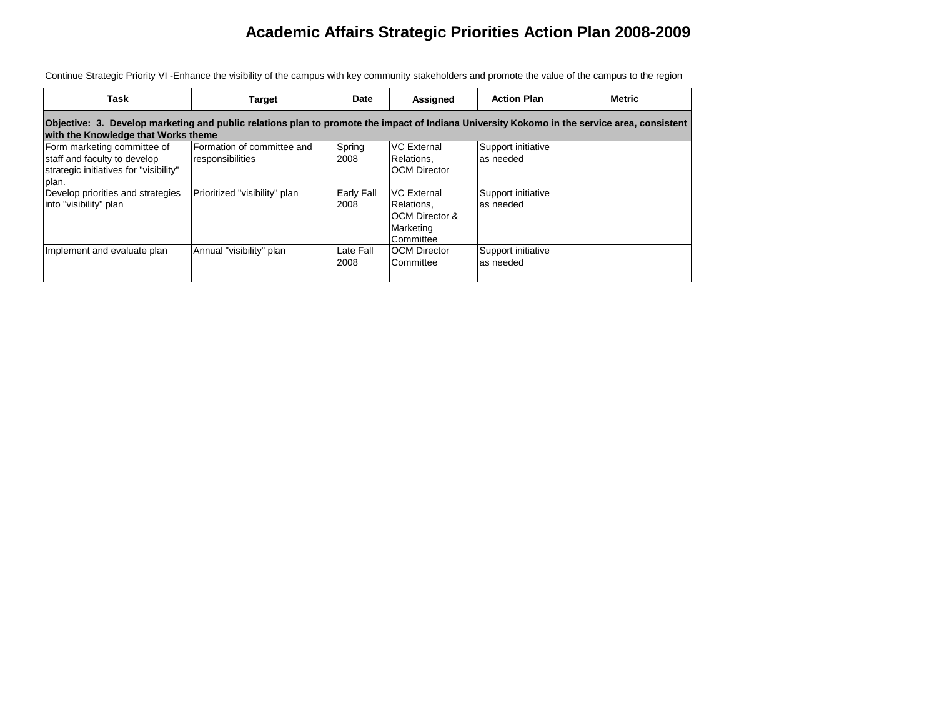| Task                                                                                                                                                                                | <b>Target</b>                                  | Date               | Assigned                                                                                | <b>Action Plan</b>               | <b>Metric</b> |  |  |  |
|-------------------------------------------------------------------------------------------------------------------------------------------------------------------------------------|------------------------------------------------|--------------------|-----------------------------------------------------------------------------------------|----------------------------------|---------------|--|--|--|
| Objective: 3. Develop marketing and public relations plan to promote the impact of Indiana University Kokomo in the service area, consistent<br>with the Knowledge that Works theme |                                                |                    |                                                                                         |                                  |               |  |  |  |
| Form marketing committee of<br>staff and faculty to develop<br>strategic initiatives for "visibility"<br>plan.                                                                      | Formation of committee and<br>responsibilities | Spring<br>2008     | <b>VC External</b><br>Relations.<br><b>OCM Director</b>                                 | Support initiative<br>as needed  |               |  |  |  |
| Develop priorities and strategies<br>into "visibility" plan                                                                                                                         | Prioritized "visibility" plan                  | Early Fall<br>2008 | <b>VC External</b><br>Relations.<br><b>OCM Director &amp;</b><br>Marketing<br>Committee | Support initiative<br>as needed  |               |  |  |  |
| Implement and evaluate plan                                                                                                                                                         | Annual "visibility" plan                       | Late Fall<br>2008  | <b>OCM Director</b><br>Committee                                                        | Support initiative<br>las needed |               |  |  |  |

Continue Strategic Priority VI -Enhance the visibility of the campus with key community stakeholders and promote the value of the campus to the region